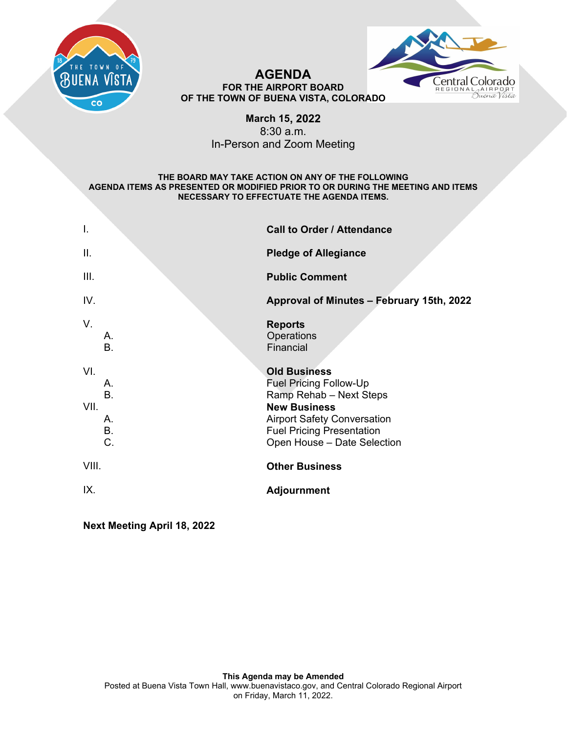



### **AGENDA FOR THE AIRPORT BOARD OF THE TOWN OF BUENA VISTA, COLORADO**

# **March 15, 2022**  8:30 a.m. In-Person and Zoom Meeting

### **THE BOARD MAY TAKE ACTION ON ANY OF THE FOLLOWING AGENDA ITEMS AS PRESENTED OR MODIFIED PRIOR TO OR DURING THE MEETING AND ITEMS NECESSARY TO EFFECTUATE THE AGENDA ITEMS.**

| $\mathbf{I}$ . |                                   | <b>Call to Order / Attendance</b>                                                                                                                                                                               |
|----------------|-----------------------------------|-----------------------------------------------------------------------------------------------------------------------------------------------------------------------------------------------------------------|
| Ш.             |                                   | <b>Pledge of Allegiance</b>                                                                                                                                                                                     |
| III.           |                                   | <b>Public Comment</b>                                                                                                                                                                                           |
| IV.            |                                   | Approval of Minutes - February 15th, 2022                                                                                                                                                                       |
| V.             | Α.<br><b>B.</b>                   | <b>Reports</b><br>Operations<br>Financial                                                                                                                                                                       |
| VI.<br>VII.    | Α.<br>B.<br>Α.<br><b>B.</b><br>C. | <b>Old Business</b><br><b>Fuel Pricing Follow-Up</b><br>Ramp Rehab - Next Steps<br><b>New Business</b><br><b>Airport Safety Conversation</b><br><b>Fuel Pricing Presentation</b><br>Open House - Date Selection |
| VIII.          |                                   | <b>Other Business</b>                                                                                                                                                                                           |
| IX.            |                                   | <b>Adjournment</b>                                                                                                                                                                                              |

**Next Meeting April 18, 2022**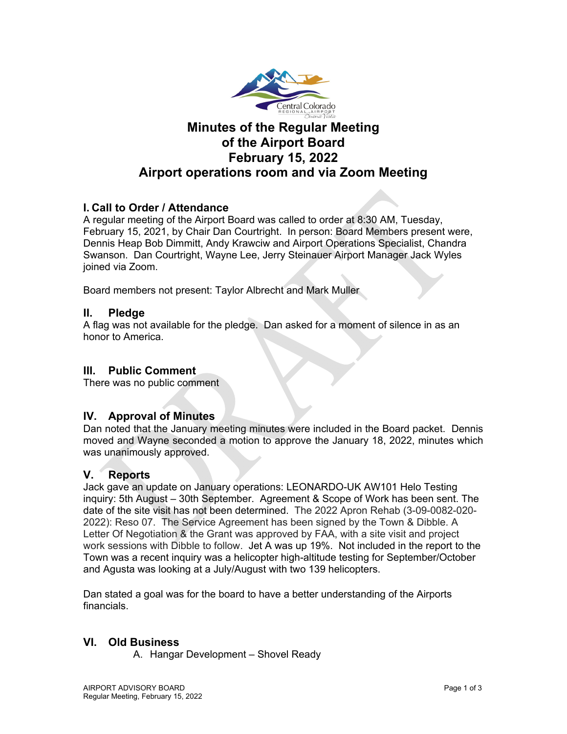

# **Minutes of the Regular Meeting of the Airport Board February 15, 2022 Airport operations room and via Zoom Meeting**

# **I. Call to Order / Attendance**

A regular meeting of the Airport Board was called to order at 8:30 AM, Tuesday, February 15, 2021, by Chair Dan Courtright. In person: Board Members present were, Dennis Heap Bob Dimmitt, Andy Krawciw and Airport Operations Specialist, Chandra Swanson. Dan Courtright, Wayne Lee, Jerry Steinauer Airport Manager Jack Wyles joined via Zoom.

Board members not present: Taylor Albrecht and Mark Muller

# **II. Pledge**

A flag was not available for the pledge. Dan asked for a moment of silence in as an honor to America.

# **III. Public Comment**

There was no public comment

# **IV. Approval of Minutes**

Dan noted that the January meeting minutes were included in the Board packet. Dennis moved and Wayne seconded a motion to approve the January 18, 2022, minutes which was unanimously approved.

# **V. Reports**

Jack gave an update on January operations: LEONARDO-UK AW101 Helo Testing inquiry: 5th August – 30th September. Agreement & Scope of Work has been sent. The date of the site visit has not been determined. The 2022 Apron Rehab (3-09-0082-020- 2022): Reso 07. The Service Agreement has been signed by the Town & Dibble. A Letter Of Negotiation & the Grant was approved by FAA, with a site visit and project work sessions with Dibble to follow. Jet A was up 19%. Not included in the report to the Town was a recent inquiry was a helicopter high-altitude testing for September/October and Agusta was looking at a July/August with two 139 helicopters.

Dan stated a goal was for the board to have a better understanding of the Airports financials.

# **VI. Old Business**

A. Hangar Development – Shovel Ready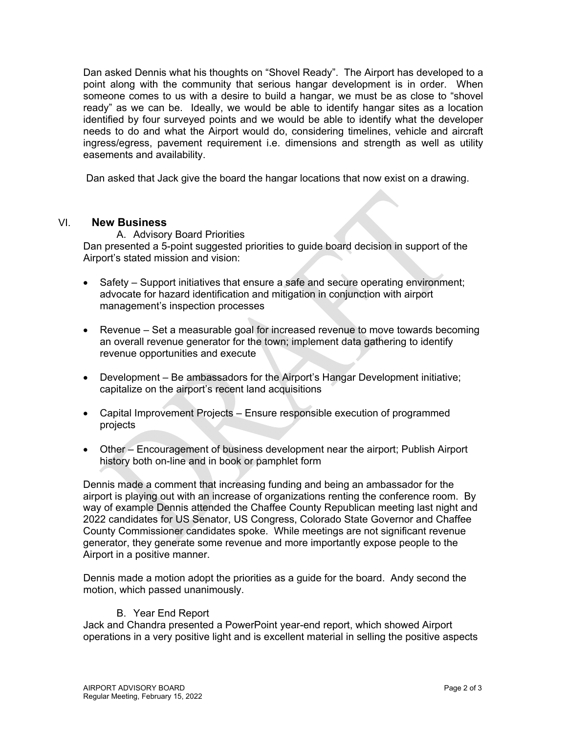Dan asked Dennis what his thoughts on "Shovel Ready". The Airport has developed to a point along with the community that serious hangar development is in order. When someone comes to us with a desire to build a hangar, we must be as close to "shovel ready" as we can be. Ideally, we would be able to identify hangar sites as a location identified by four surveyed points and we would be able to identify what the developer needs to do and what the Airport would do, considering timelines, vehicle and aircraft ingress/egress, pavement requirement i.e. dimensions and strength as well as utility easements and availability.

Dan asked that Jack give the board the hangar locations that now exist on a drawing.

### VI. **New Business**

A. Advisory Board Priorities Dan presented a 5-point suggested priorities to guide board decision in support of the Airport's stated mission and vision:

- Safety Support initiatives that ensure a safe and secure operating environment; advocate for hazard identification and mitigation in conjunction with airport management's inspection processes
- Revenue Set a measurable goal for increased revenue to move towards becoming an overall revenue generator for the town; implement data gathering to identify revenue opportunities and execute
- Development Be ambassadors for the Airport's Hangar Development initiative; capitalize on the airport's recent land acquisitions
- Capital Improvement Projects Ensure responsible execution of programmed projects
- Other Encouragement of business development near the airport; Publish Airport history both on-line and in book or pamphlet form

Dennis made a comment that increasing funding and being an ambassador for the airport is playing out with an increase of organizations renting the conference room. By way of example Dennis attended the Chaffee County Republican meeting last night and 2022 candidates for US Senator, US Congress, Colorado State Governor and Chaffee County Commissioner candidates spoke. While meetings are not significant revenue generator, they generate some revenue and more importantly expose people to the Airport in a positive manner.

Dennis made a motion adopt the priorities as a guide for the board. Andy second the motion, which passed unanimously.

### B. Year End Report

Jack and Chandra presented a PowerPoint year-end report, which showed Airport operations in a very positive light and is excellent material in selling the positive aspects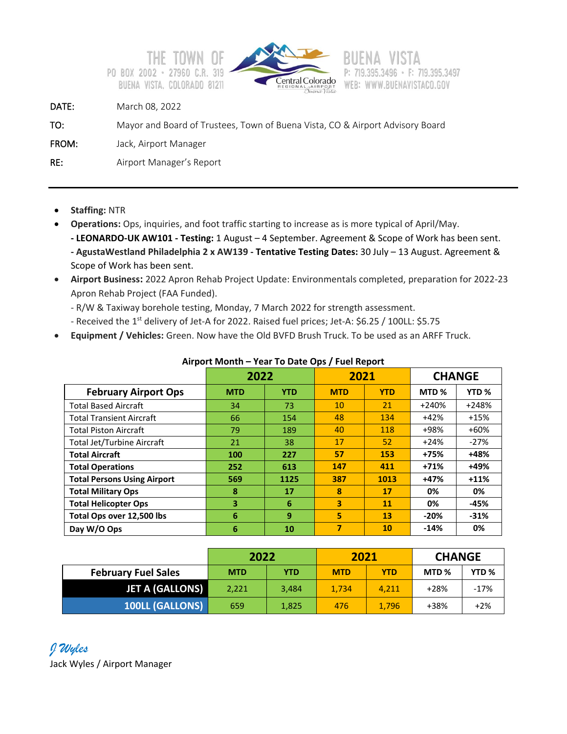



# F: 719.395.3497 WEB: WWW.BUENAVISTACO.GOV

DATE: March 08, 2022

```
TO: Mayor and Board of Trustees, Town of Buena Vista, CO & Airport Advisory Board
```
FROM: Jack, Airport Manager

RE: Airport Manager's Report

- **Staffing:** NTR
- **Operations:** Ops, inquiries, and foot traffic starting to increase as is more typical of April/May.

**- LEONARDO-UK AW101 - Testing:** 1 August – 4 September. Agreement & Scope of Work has been sent. **- AgustaWestland Philadelphia 2 x AW139 - Tentative Testing Dates:** 30 July – 13 August. Agreement & Scope of Work has been sent.

- **Airport Business:** 2022 Apron Rehab Project Update: Environmentals completed, preparation for 2022-23 Apron Rehab Project (FAA Funded).
	- R/W & Taxiway borehole testing, Monday, 7 March 2022 for strength assessment.
	- Received the 1<sup>st</sup> delivery of Jet-A for 2022. Raised fuel prices; Jet-A: \$6.25 / 100LL: \$5.75
- **Equipment / Vehicles:** Green. Now have the Old BVFD Brush Truck. To be used as an ARFF Truck.

|                                    | 2022       |            | 2021                    |            | <b>CHANGE</b>    |                  |
|------------------------------------|------------|------------|-------------------------|------------|------------------|------------------|
| <b>February Airport Ops</b>        | <b>MTD</b> | <b>YTD</b> | <b>MTD</b>              | <b>YTD</b> | MTD <sub>%</sub> | YTD <sub>%</sub> |
| <b>Total Based Aircraft</b>        | 34         | 73         | 10                      | 21         | $+240%$          | $+248%$          |
| <b>Total Transient Aircraft</b>    | 66         | 154        | 48                      | 134        | $+42%$           | $+15%$           |
| <b>Total Piston Aircraft</b>       | 79         | 189        | 40                      | 118        | +98%             | $+60%$           |
| <b>Total Jet/Turbine Aircraft</b>  | 21         | 38         | 17                      | 52         | $+24%$           | $-27%$           |
| <b>Total Aircraft</b>              | 100        | 227        | 57                      | 153        | +75%             | +48%             |
| <b>Total Operations</b>            | 252        | 613        | 147                     | 411        | $+71%$           | +49%             |
| <b>Total Persons Using Airport</b> | 569        | 1125       | 387                     | 1013       | +47%             | $+11%$           |
| <b>Total Military Ops</b>          | 8          | 17         | 8                       | 17         | 0%               | 0%               |
| <b>Total Helicopter Ops</b>        | 3          | 6          | $\overline{\mathbf{3}}$ | 11         | 0%               | -45%             |
| Total Ops over 12,500 lbs          | 6          | 9          | 5                       | 13         | $-20%$           | $-31%$           |
| Day W/O Ops                        | 6          | 10         | 7                       | 10         | $-14%$           | 0%               |

# **Airport Month – Year To Date Ops / Fuel Report**

|                            | 2022       |            | 2021       |            | <b>CHANGE</b>    |                  |
|----------------------------|------------|------------|------------|------------|------------------|------------------|
| <b>February Fuel Sales</b> | <b>MTD</b> | <b>YTD</b> | <b>MTD</b> | <b>YTD</b> | MTD <sub>%</sub> | YTD <sub>%</sub> |
| JET A (GALLONS)            | 2,221      | 3.484      | 1,734      | 4.211      | +28%             | -17%             |
| <b>100LL (GALLONS)</b>     | 659        | 1,825      | 476        | 1,796      | +38%             | $+2%$            |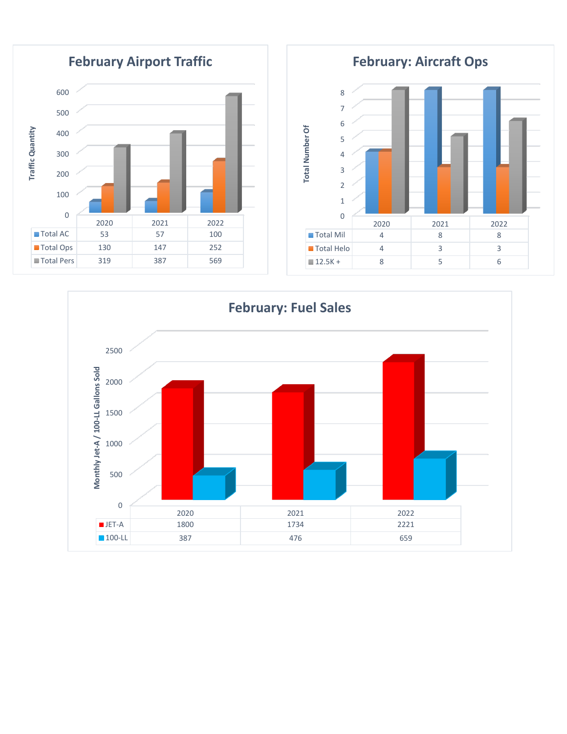

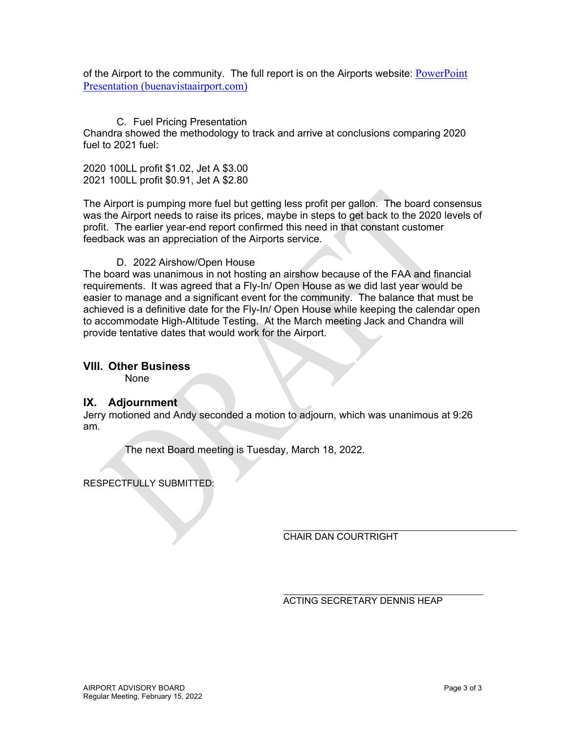of the Airport to the community. The full report is on the Airports website: PowerPoint Presentation (buenavistaairport.com)

### C. Fuel Pricing Presentation

Chandra showed the methodology to track and arrive at conclusions comparing 2020 fuel to 2021 fuel:

2020 100LL profit \$1.02, Jet A \$3.00 2021 100LL profit \$0.91, Jet A \$2.80

The Airport is pumping more fuel but getting less profit per gallon. The board consensus was the Airport needs to raise its prices, maybe in steps to get back to the 2020 levels of profit. The earlier year-end report confirmed this need in that constant customer feedback was an appreciation of the Airports service.

### D. 2022 Airshow/Open House

The board was unanimous in not hosting an airshow because of the FAA and financial requirements. It was agreed that a Fly-In/ Open House as we did last year would be easier to manage and a significant event for the community. The balance that must be achieved is a definitive date for the Fly-In/ Open House while keeping the calendar open to accommodate High-Altitude Testing. At the March meeting Jack and Chandra will provide tentative dates that would work for the Airport.

### **VIII. Other Business**

None

### **IX. Adjournment**

Jerry motioned and Andy seconded a motion to adjourn, which was unanimous at 9:26 am.

The next Board meeting is Tuesday, March 18, 2022.

RESPECTFULLY SUBMITTED:

CHAIR DAN COURTRIGHT

ACTING SECRETARY DENNIS HEAP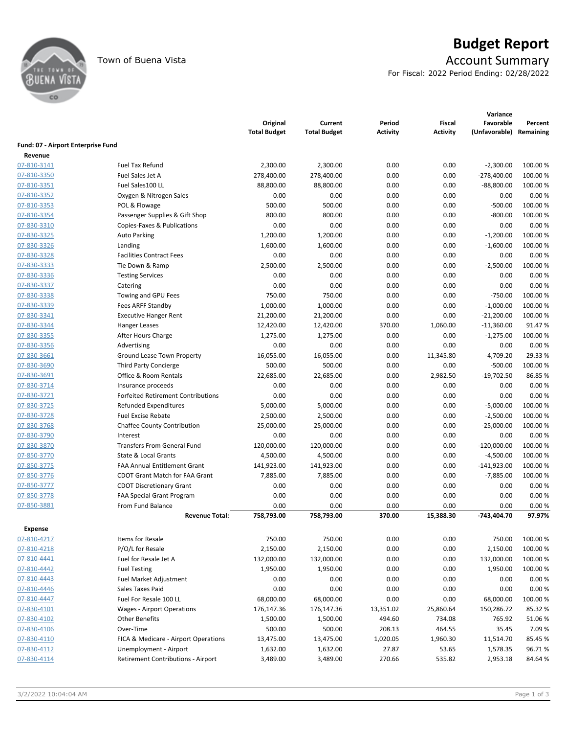

# Town of Buena Vista **Account Summary**

For Fiscal: 2022 Period Ending: 02/28/2022

|                                    |                                           | Original<br><b>Total Budget</b> | Current<br><b>Total Budget</b> | Period<br><b>Activity</b> | <b>Fiscal</b><br><b>Activity</b> | Variance<br>Favorable<br>(Unfavorable) | Percent<br>Remaining |
|------------------------------------|-------------------------------------------|---------------------------------|--------------------------------|---------------------------|----------------------------------|----------------------------------------|----------------------|
| Fund: 07 - Airport Enterprise Fund |                                           |                                 |                                |                           |                                  |                                        |                      |
| Revenue                            |                                           |                                 |                                |                           |                                  |                                        |                      |
| 07-810-3141                        | <b>Fuel Tax Refund</b>                    | 2,300.00                        | 2,300.00                       | 0.00                      | 0.00                             | $-2,300.00$                            | 100.00 %             |
| 07-810-3350                        | Fuel Sales Jet A                          | 278,400.00                      | 278,400.00                     | 0.00                      | 0.00                             | $-278,400.00$                          | 100.00 %             |
| 07-810-3351                        | Fuel Sales100 LL                          | 88,800.00                       | 88,800.00                      | 0.00                      | 0.00                             | $-88,800.00$                           | 100.00 %             |
| 07-810-3352                        | Oxygen & Nitrogen Sales                   | 0.00                            | 0.00                           | 0.00                      | 0.00                             | 0.00                                   | 0.00%                |
| 07-810-3353                        | POL & Flowage                             | 500.00                          | 500.00                         | 0.00                      | 0.00                             | $-500.00$                              | 100.00 %             |
| 07-810-3354                        | Passenger Supplies & Gift Shop            | 800.00                          | 800.00                         | 0.00                      | 0.00                             | $-800.00$                              | 100.00 %             |
| 07-830-3310                        | Copies-Faxes & Publications               | 0.00                            | 0.00                           | 0.00                      | 0.00                             | 0.00                                   | 0.00%                |
| 07-830-3325                        | <b>Auto Parking</b>                       | 1,200.00                        | 1,200.00                       | 0.00                      | 0.00                             | $-1,200.00$                            | 100.00 %             |
| 07-830-3326                        | Landing                                   | 1,600.00                        | 1,600.00                       | 0.00                      | 0.00                             | $-1,600.00$                            | 100.00%              |
| 07-830-3328                        | <b>Facilities Contract Fees</b>           | 0.00                            | 0.00                           | 0.00                      | 0.00                             | 0.00                                   | 0.00%                |
| 07-830-3333                        | Tie Down & Ramp                           | 2,500.00                        | 2,500.00                       | 0.00                      | 0.00                             | $-2,500.00$                            | 100.00%              |
| 07-830-3336                        | <b>Testing Services</b>                   | 0.00                            | 0.00                           | 0.00                      | 0.00                             | 0.00                                   | 0.00%                |
| 07-830-3337                        | Catering                                  | 0.00                            | 0.00                           | 0.00                      | 0.00                             | 0.00                                   | 0.00%                |
| 07-830-3338                        | Towing and GPU Fees                       | 750.00                          | 750.00                         | 0.00                      | 0.00                             | $-750.00$                              | 100.00%              |
| 07-830-3339                        | Fees ARFF Standby                         | 1,000.00                        | 1,000.00                       | 0.00                      | 0.00                             | $-1,000.00$                            | 100.00 %             |
| 07-830-3341                        | <b>Executive Hanger Rent</b>              | 21,200.00                       | 21,200.00                      | 0.00                      | 0.00                             | $-21,200.00$                           | 100.00 %             |
| 07-830-3344                        | <b>Hanger Leases</b>                      | 12,420.00                       | 12,420.00                      | 370.00                    | 1,060.00                         | $-11,360.00$                           | 91.47%               |
| 07-830-3355                        | After Hours Charge                        | 1,275.00                        | 1,275.00                       | 0.00                      | 0.00                             | $-1,275.00$                            | 100.00 %             |
| 07-830-3356                        | Advertising                               | 0.00                            | 0.00                           | 0.00                      | 0.00                             | 0.00                                   | 0.00%                |
| 07-830-3661                        | Ground Lease Town Property                | 16,055.00                       | 16,055.00                      | 0.00                      | 11,345.80                        | $-4,709.20$                            | 29.33 %              |
| 07-830-3690                        | <b>Third Party Concierge</b>              | 500.00                          | 500.00                         | 0.00                      | 0.00                             | $-500.00$                              | 100.00%              |
| 07-830-3691                        | Office & Room Rentals                     | 22,685.00                       | 22,685.00                      | 0.00                      | 2,982.50                         | $-19,702.50$                           | 86.85%               |
| 07-830-3714                        | Insurance proceeds                        | 0.00                            | 0.00                           | 0.00                      | 0.00                             | 0.00                                   | 0.00%                |
| 07-830-3721                        | <b>Forfeited Retirement Contributions</b> | 0.00                            | 0.00                           | 0.00                      | 0.00                             | 0.00                                   | 0.00%                |
| 07-830-3725                        | <b>Refunded Expenditures</b>              | 5,000.00                        | 5,000.00                       | 0.00                      | 0.00                             | $-5,000.00$                            | 100.00%              |
| 07-830-3728                        | <b>Fuel Excise Rebate</b>                 | 2,500.00                        | 2,500.00                       | 0.00                      | 0.00                             | $-2,500.00$                            | 100.00 %             |
| 07-830-3768                        | <b>Chaffee County Contribution</b>        | 25,000.00                       | 25,000.00                      | 0.00                      | 0.00                             | $-25,000.00$                           | 100.00%              |
| 07-830-3790                        | Interest                                  | 0.00                            | 0.00                           | 0.00                      | 0.00                             | 0.00                                   | 0.00%                |
| 07-830-3870                        | <b>Transfers From General Fund</b>        | 120,000.00                      | 120,000.00                     | 0.00                      | 0.00                             | $-120,000.00$                          | 100.00 %             |
| 07-850-3770                        | State & Local Grants                      | 4,500.00                        | 4,500.00                       | 0.00                      | 0.00                             | $-4,500.00$                            | 100.00 %             |
| 07-850-3775                        | <b>FAA Annual Entitlement Grant</b>       | 141,923.00                      | 141,923.00                     | 0.00                      | 0.00                             | $-141,923.00$                          | 100.00 %             |
| 07-850-3776                        | <b>CDOT Grant Match for FAA Grant</b>     | 7,885.00                        | 7,885.00                       | 0.00                      | 0.00                             | $-7,885.00$                            | 100.00%              |
| 07-850-3777                        | <b>CDOT Discretionary Grant</b>           | 0.00                            | 0.00                           | 0.00                      | 0.00                             | 0.00                                   | 0.00%                |
| 07-850-3778                        | FAA Special Grant Program                 | 0.00                            | 0.00                           | 0.00                      | 0.00                             | 0.00                                   | 0.00%                |
| 07-850-3881                        | From Fund Balance                         | 0.00                            | 0.00                           | 0.00                      | 0.00                             | 0.00                                   | 0.00%                |
|                                    | <b>Revenue Total:</b>                     | 758,793.00                      | 758,793.00                     | 370.00                    | 15,388.30                        | -743,404.70                            | 97.97%               |
|                                    |                                           |                                 |                                |                           |                                  |                                        |                      |
| <b>Expense</b>                     |                                           |                                 |                                |                           |                                  |                                        |                      |
| 07-810-4217                        | Items for Resale                          | 750.00                          | 750.00                         | 0.00                      | 0.00                             | 750.00                                 | 100.00%              |
| 07-810-4218                        | P/O/L for Resale                          | 2,150.00                        | 2,150.00                       | 0.00                      | 0.00                             | 2,150.00                               | 100.00 %             |
| 07-810-4441                        | Fuel for Resale Jet A                     | 132,000.00                      | 132,000.00                     | 0.00                      | 0.00                             | 132,000.00                             | 100.00%              |
| 07-810-4442                        | <b>Fuel Testing</b>                       | 1,950.00                        | 1,950.00                       | 0.00                      | 0.00                             | 1,950.00                               | 100.00%              |
| 07-810-4443                        | Fuel Market Adjustment                    | 0.00                            | 0.00                           | 0.00                      | 0.00                             | 0.00                                   | 0.00%                |
| 07-810-4446                        | Sales Taxes Paid                          | 0.00                            | 0.00                           | 0.00                      | 0.00                             | 0.00                                   | 0.00%                |
| 07-810-4447                        | Fuel For Resale 100 LL                    | 68,000.00                       | 68,000.00                      | 0.00                      | 0.00                             | 68,000.00                              | 100.00 %             |
| 07-830-4101                        | Wages - Airport Operations                | 176,147.36                      | 176,147.36                     | 13,351.02                 | 25,860.64                        | 150,286.72                             | 85.32%               |
| 07-830-4102                        | <b>Other Benefits</b>                     | 1,500.00                        | 1,500.00                       | 494.60                    | 734.08                           | 765.92                                 | 51.06%               |
| 07-830-4106                        | Over-Time                                 | 500.00                          | 500.00                         | 208.13                    | 464.55                           | 35.45                                  | 7.09%                |
| 07-830-4110                        | FICA & Medicare - Airport Operations      | 13,475.00                       | 13,475.00                      | 1,020.05                  | 1,960.30                         | 11,514.70                              | 85.45%               |
| 07-830-4112                        | Unemployment - Airport                    | 1,632.00                        | 1,632.00                       | 27.87                     | 53.65                            | 1,578.35                               | 96.71%               |
| 07-830-4114                        | Retirement Contributions - Airport        | 3,489.00                        | 3,489.00                       | 270.66                    | 535.82                           | 2,953.18                               | 84.64%               |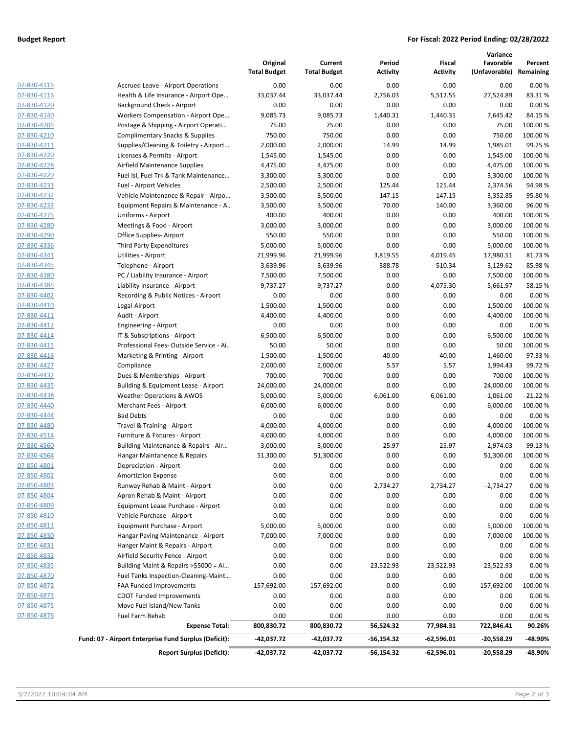### **Budget Report For Fiscal: 2022 Period Ending: 02/28/2022**

|             |                                                       | Original<br><b>Total Budget</b> | Current<br><b>Total Budget</b> | Period<br><b>Activity</b> | Fiscal<br><b>Activity</b> | Variance<br>Favorable<br>(Unfavorable) | Percent<br>Remaining |
|-------------|-------------------------------------------------------|---------------------------------|--------------------------------|---------------------------|---------------------------|----------------------------------------|----------------------|
| 07-830-4115 | <b>Accrued Leave - Airport Operations</b>             | 0.00                            | 0.00                           | 0.00                      | 0.00                      | 0.00                                   | 0.00%                |
| 07-830-4116 | Health & Life Insurance - Airport Ope                 | 33,037.44                       | 33,037.44                      | 2,756.03                  | 5,512.55                  | 27,524.89                              | 83.31%               |
| 07-830-4120 | Background Check - Airport                            | 0.00                            | 0.00                           | 0.00                      | 0.00                      | 0.00                                   | 0.00%                |
| 07-830-4140 | Workers Compensation - Airport Ope                    | 9,085.73                        | 9,085.73                       | 1,440.31                  | 1,440.31                  | 7,645.42                               | 84.15%               |
| 07-830-4205 | Postage & Shipping - Airport Operati                  | 75.00                           | 75.00                          | 0.00                      | 0.00                      | 75.00                                  | 100.00 %             |
| 07-830-4210 | <b>Complimentary Snacks &amp; Supplies</b>            | 750.00                          | 750.00                         | 0.00                      | 0.00                      | 750.00                                 | 100.00 %             |
| 07-830-4211 | Supplies/Cleaning & Toiletry - Airport                | 2,000.00                        | 2,000.00                       | 14.99                     | 14.99                     | 1,985.01                               | 99.25 %              |
| 07-830-4220 | Licenses & Permits - Airport                          | 1,545.00                        | 1,545.00                       | 0.00                      | 0.00                      | 1,545.00                               | 100.00%              |
| 07-830-4228 | Airfield Maintenance Supplies                         | 4,475.00                        | 4,475.00                       | 0.00                      | 0.00                      | 4,475.00                               | 100.00%              |
| 07-830-4229 | Fuel Isl, Fuel Trk & Tank Maintenance                 | 3,300.00                        | 3,300.00                       | 0.00                      | 0.00                      | 3,300.00                               | 100.00%              |
| 07-830-4231 | Fuel - Airport Vehicles                               | 2,500.00                        | 2,500.00                       | 125.44                    | 125.44                    | 2,374.56                               | 94.98%               |
| 07-830-4232 | Vehicle Maintenance & Repair - Airpo                  | 3,500.00                        | 3,500.00                       | 147.15                    | 147.15                    | 3,352.85                               | 95.80%               |
| 07-830-4233 | Equipment Repairs & Maintenance - A                   | 3,500.00                        | 3,500.00                       | 70.00                     | 140.00                    | 3,360.00                               | 96.00%               |
| 07-830-4275 | Uniforms - Airport                                    | 400.00                          | 400.00                         | 0.00                      | 0.00                      | 400.00                                 | 100.00%              |
| 07-830-4280 | Meetings & Food - Airport                             | 3,000.00                        | 3,000.00                       | 0.00                      | 0.00                      | 3,000.00                               | 100.00%              |
| 07-830-4290 | Office Supplies-Airport                               | 550.00                          | 550.00                         | 0.00                      | 0.00                      | 550.00                                 | 100.00 %             |
| 07-830-4336 | Third Party Expenditures                              | 5,000.00                        | 5,000.00                       | 0.00                      | 0.00                      | 5,000.00                               | 100.00%              |
| 07-830-4341 | Utilities - Airport                                   | 21,999.96                       | 21,999.96                      | 3,819.55                  | 4,019.45                  | 17,980.51                              | 81.73%               |
| 07-830-4345 | Telephone - Airport                                   | 3,639.96                        | 3,639.96                       | 388.78                    | 510.34                    | 3,129.62                               | 85.98%               |
| 07-830-4380 | PC / Liability Insurance - Airport                    | 7,500.00                        | 7,500.00                       | 0.00                      | 0.00                      | 7,500.00                               | 100.00%              |
| 07-830-4385 | Liability Insurance - Airport                         | 9,737.27                        | 9,737.27                       | 0.00                      | 4,075.30                  | 5,661.97                               | 58.15 %              |
| 07-830-4402 | Recording & Public Notices - Airport                  | 0.00                            | 0.00                           | 0.00                      | 0.00                      | 0.00                                   | 0.00%                |
| 07-830-4410 | Legal-Airport                                         | 1,500.00                        | 1,500.00                       | 0.00                      | 0.00                      | 1,500.00                               | 100.00%              |
| 07-830-4411 | Audit - Airport                                       | 4,400.00                        | 4,400.00                       | 0.00                      | 0.00                      | 4,400.00                               | 100.00%              |
| 07-830-4412 | Engineering - Airport                                 | 0.00                            | 0.00                           | 0.00                      | 0.00                      | 0.00                                   | 0.00%                |
| 07-830-4414 | IT & Subscriptions - Airport                          | 6,500.00                        | 6,500.00                       | 0.00                      | 0.00                      | 6,500.00                               | 100.00 %             |
| 07-830-4415 | Professional Fees-Outside Service - Ai                | 50.00                           | 50.00                          | 0.00                      | 0.00                      | 50.00                                  | 100.00%              |
| 07-830-4416 | Marketing & Printing - Airport                        | 1,500.00                        | 1,500.00                       | 40.00                     | 40.00                     | 1,460.00                               | 97.33%               |
| 07-830-4427 | Compliance                                            | 2,000.00                        | 2,000.00                       | 5.57                      | 5.57                      | 1,994.43                               | 99.72 %              |
| 07-830-4432 | Dues & Memberships - Airport                          | 700.00                          | 700.00                         | 0.00                      | 0.00                      | 700.00                                 | 100.00%              |
| 07-830-4435 | Building & Equipment Lease - Airport                  | 24,000.00                       | 24,000.00                      | 0.00                      | 0.00                      | 24,000.00                              | 100.00 %             |
| 07-830-4438 | <b>Weather Operations &amp; AWOS</b>                  | 5,000.00                        | 5,000.00                       | 6,061.00                  | 6,061.00                  | $-1,061.00$                            | $-21.22%$            |
| 07-830-4440 | Merchant Fees - Airport                               | 6,000.00                        | 6,000.00                       | 0.00                      | 0.00                      | 6,000.00                               | 100.00%              |
| 07-830-4444 | <b>Bad Debts</b>                                      | 0.00                            | 0.00                           | 0.00                      | 0.00                      | 0.00                                   | 0.00%                |
| 07-830-4480 | Travel & Training - Airport                           | 4,000.00                        | 4,000.00                       | 0.00                      | 0.00                      | 4,000.00                               | 100.00%              |
| 07-830-4514 | Furniture & Fixtures - Airport                        | 4,000.00                        | 4,000.00                       | 0.00                      | 0.00                      | 4,000.00                               | 100.00 %             |
| 07-830-4560 | Building Maintenance & Repairs - Air                  | 3,000.00                        | 3,000.00                       | 25.97                     | 25.97                     | 2,974.03                               | 99.13%               |
| 07-830-4564 | Hangar Maintanence & Repairs                          | 51,300.00                       | 51,300.00                      | 0.00                      | 0.00                      | 51,300.00                              | 100.00%              |
| 07-850-4801 | Depreciation - Airport                                | 0.00                            | 0.00                           | 0.00                      | 0.00                      | 0.00                                   | 0.00%                |
| 07-850-4802 | <b>Amortiztion Expense</b>                            | 0.00                            | 0.00                           | 0.00                      | 0.00                      | 0.00                                   | 0.00%                |
| 07-850-4803 | Runway Rehab & Maint - Airport                        | 0.00                            | 0.00                           | 2,734.27                  | 2,734.27                  | $-2,734.27$                            | 0.00%                |
| 07-850-4804 | Apron Rehab & Maint - Airport                         | 0.00                            | 0.00                           | 0.00                      | 0.00                      | 0.00                                   | 0.00%                |
| 07-850-4809 | Equipment Lease Purchase - Airport                    | 0.00                            | 0.00                           | 0.00                      | 0.00                      | 0.00                                   | 0.00%                |
| 07-850-4810 | Vehicle Purchase - Airport                            | 0.00                            | 0.00                           | 0.00                      | 0.00                      | 0.00                                   | 0.00%                |
| 07-850-4811 | Equipment Purchase - Airport                          | 5,000.00                        | 5,000.00                       | 0.00                      | 0.00                      | 5,000.00                               | 100.00%              |
| 07-850-4830 | Hangar Paving Maintenance - Airport                   | 7,000.00                        | 7,000.00                       | 0.00                      | 0.00                      | 7,000.00                               | 100.00%              |
| 07-850-4831 | Hanger Maint & Repairs - Airport                      | 0.00                            | 0.00                           | 0.00                      | 0.00                      | 0.00                                   | 0.00%                |
| 07-850-4832 | Airfield Security Fence - Airport                     | 0.00                            | 0.00                           | 0.00                      | 0.00                      | 0.00                                   | 0.00%                |
| 07-850-4835 | Building Maint & Repairs >\$5000 = Ai                 | 0.00                            | 0.00                           | 23,522.93                 | 23,522.93                 | -23,522.93                             | 0.00%                |
| 07-850-4870 | Fuel Tanks Inspection-Cleaning-Maint                  | 0.00                            | 0.00                           | 0.00                      | 0.00                      | 0.00                                   | 0.00%                |
| 07-850-4872 | <b>FAA Funded Improvements</b>                        | 157,692.00                      | 157,692.00                     | 0.00                      | 0.00                      | 157,692.00                             | 100.00%              |
| 07-850-4873 | <b>CDOT Funded Improvements</b>                       | 0.00                            | 0.00                           | 0.00                      | 0.00                      | 0.00                                   | 0.00%                |
| 07-850-4875 | Move Fuel Island/New Tanks                            | 0.00                            | 0.00                           | 0.00                      | 0.00                      | 0.00                                   | 0.00%                |
| 07-850-4876 | Fuel Farm Rehab<br><b>Expense Total:</b>              | 0.00<br>800,830.72              | 0.00<br>800,830.72             | 0.00<br>56,524.32         | 0.00<br>77,984.31         | 0.00<br>722,846.41                     | 0.00%<br>90.26%      |
|             |                                                       |                                 |                                |                           |                           |                                        |                      |
|             | Fund: 07 - Airport Enterprise Fund Surplus (Deficit): | -42,037.72                      | -42,037.72                     | $-56,154.32$              | -62,596.01                | $-20,558.29$                           | -48.90%              |
|             | <b>Report Surplus (Deficit):</b>                      | -42,037.72                      | -42,037.72                     | -56,154.32                | -62,596.01                | $-20,558.29$                           | -48.90%              |